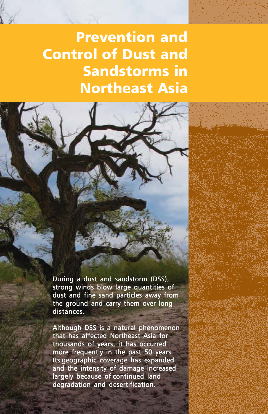# Prevention and Control of Dust and Sandstorms in Northeast Asia

During a dust and sandstorm (DSS), strong winds blow large quantities of dust and fine sand particles away from the ground and carry them over long distances.

Although DSS is a natural phenomenon that has affected Northeast Asia for thousands of years, it has occurred more frequently in the past 50 years. Its geographic coverage has expanded and the intensity of damage increased largely because of continued land degradation and desertification.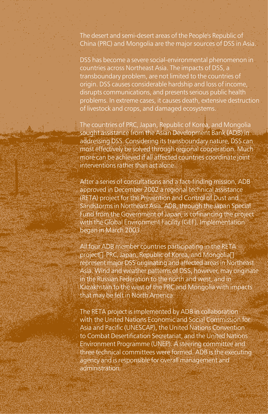The desert and semi-desert areas of the People's Republic of China (PRC) and Mongolia are the major sources of DSS in Asia.

DSS has become a severe social-environmental phenomenon in countries across Northeast Asia. The impacts of DSS, a transboundary problem, are not limited to the countries of origin. DSS causes considerable hardship and loss of income, disrupts communications, and presents serious public health problems. In extreme cases, it causes death, extensive destruction of livestock and crops, and damaged ecosystems.

The countries of PRC, Japan, Republic of Korea, and Mongolia sought assistance from the Asian Development Bank (ADB) in addressing DSS. Considering its transboundary nature, DSS can most effectively be solved through regional cooperation. Much more can be achieved if all affected countries coordinate joint interventions rather than act alone.

After a series of consultations and a fact-finding mission, ADB approved in December 2002 a regional technical assistance (RETA) project for the Prevention and Control of Dust and Sandstorms in Northeast Asia. ADB, through the Japan Special Fund from the Government of Japan, is cofinancing the project with the Global Environment Facility (GEF). Implementation began in March 2003.

All four ADB member countries participating in the RETA project<sub>[]</sub> PRC, Japan, Republic of Korea, and Mongolia<sub>[1]</sub> represent major DSS originating and affected areas in Northeast Asia. Wind and weather patterns of DSS, however, may originate in the Russian Federation to the north and west, and in Kazakhstan to the west of the PRC and Mongolia with impacts that may be felt in North America.

The RETA project is implemented by ADB in collaboration with the United Nations Economic and Social Commission for Asia and Pacific (UNESCAP), the United Nations Convention to Combat Desertification Secretariat, and the United Nations Environment Programme (UNEP). A steering committee and three technical committees were formed. ADB is the executing agency and is responsible for overall management and administration.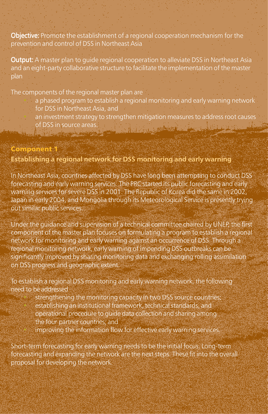Objective: Promote the establishment of a regional cooperation mechanism for the prevention and control of DSS in Northeast Asia

Output: A master plan to guide regional cooperation to alleviate DSS in Northeast Asia and an eight-party collaborative structure to facilitate the implementation of the master plan

The components of the regional master plan are

- a phased program to establish a regional monitoring and early warning network for DSS in Northeast Asia, and
- an investment strategy to strengthen mitigation measures to address root causes of DSS in source areas. **U. A. G. Pine Le Barbara** <u> 1969 - Joseph Marie Alexandro Sa</u>

## **Component Establishing a regional network for DSS monitoring and early warning**

In Northeast Asia, countries affected by DSS have long been attempting to conduct DSS forecasting and early warning services. The PRC started its public forecasting and early warning services for severe DSS in 2001. The Republic of Korea did the same in 2002, Japan in early 2004, and Mongolia through its Meteorological Service is presently trying out similar public services.

Under the guidance and supervision of a technical committee chaired by UNEP, the first component of the master plan focuses on formulating a program to establish a regional network for monitoring and early warning against an occurrence of DSS. Through a regional monitoring network, early warning of impending DSS outbreaks can be significantly improved by sharing monitoring data and exchanging rolling assimilation on DSS progress and geographic extent.

To establish a regional DSS monitoring and early warning network, the following need to be addressed

> strengthening the monitoring capacity in two DSS source countries; establishing an institutional framework, technical standards, and operational procedure to guide data collection and sharing among the four partner countries; and improving the information flow for effective early warning services.

Short-term forecasting for early warning needs to be the initial focus. Long-term forecasting and expanding the network are the next steps. These fit into the overall proposal for developing the network.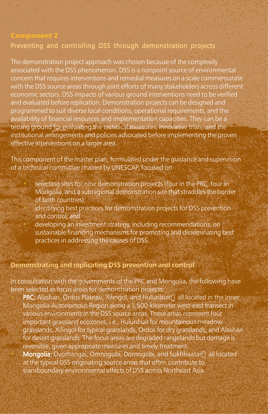## Preventing and controlling DSS through demonstration projects

The demonstration project approach was chosen because of the complexity associated with the DSS phenomenon. DSS is a nonpoint source of environmental concern that requires interventions and remedial measures on a scale commensurate with the DSS source areas through joint efforts of many stakeholders across different economic sectors. DSS impacts of various ground interventions need to be verified and evaluated before replication. Demonstration projects can be designed and programmed to suit diverse local conditions, operational requirements, and the availability of financial resources and implementation capacities. They can be a testing ground for evaluating the technical measures, innovative trials, and the institutional arrangements and policies advocated before implementing the proven effective interventions on a larger area.

This component of the master plan, formulated under the guidance and supervision of a technical committee chaired by UNESCAP, focused on

selecting sites for nine demonstration projects (four in the PRC, four in Mongolia, and a subregional demonstration site that straddles the border of both countries);

identifying best practices for demonstration projects for DSS prevention and control; and

• developing an investment strategy, including recommendations, on sustainable financing mechanisms for promoting and disseminating best practices in addressing the causes of DSS.

### **Demonstrating and replicating DSS prevention and control**

In consultation with the governments of the PRC and Mongolia, the following have been selected as focus areas for demonstration projects:

PRC: Alashan, Ordos Plateau, Xilingol, and Hulunbuir<sup>T</sup> all located in the Inner Mongolia Autonomous Region along a 1,500-kilometer west-east transect in various environments in the DSS source areas. These areas represent four important grassland ecozones, i.e., Hulunbuir for mountainous meadow grasslands, Xilingol for typical grasslands, Ordos for dry grasslands, and Alashan for desert grasslands. The focus areas are degraded rangelands but damage is reversible, given appropriate measures and timely treatment. Mongolia: Ovorhangai, Omnogobi, Dornogobi, and Sukhbaatar<sup>n</sup> all located at the typical DSS originating source areas that often contribute to transboundary environmental effects of DSS across Northeast Asia.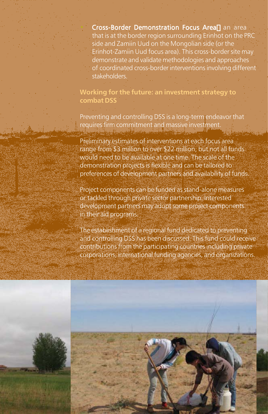Cross-Border Demonstration Focus Area<sup>n</sup> an area that is at the border region surrounding Erinhot on the PRC side and Zamiin Uud on the Mongolian side (or the Erinhot-Zamiin Uud focus area). This cross-border site may demonstrate and validate methodologies and approaches of coordinated cross-border interventions involving different stakeholders.

**Working for the future: an investment strategy to combat DSS**

Preventing and controlling DSS is a long-term endeavor that requires firm commitment and massive investment.

Preliminary estimates of interventions at each focus area range from \$3 million to over \$22 million, but not all funds would need to be available at one time. The scale of the demonstration projects is flexible and can be tailored to preferences of development partners and availability of funds.

Project components can be funded as stand-alone measures or tackled through private sector partnership. Interested development partners may adopt some project components in their aid programs.

The establishment of a regional fund dedicated to preventing and controlling DSS has been discussed. This fund could receive contributions from the participating countries including private corporations, international funding agencies, and organizations.